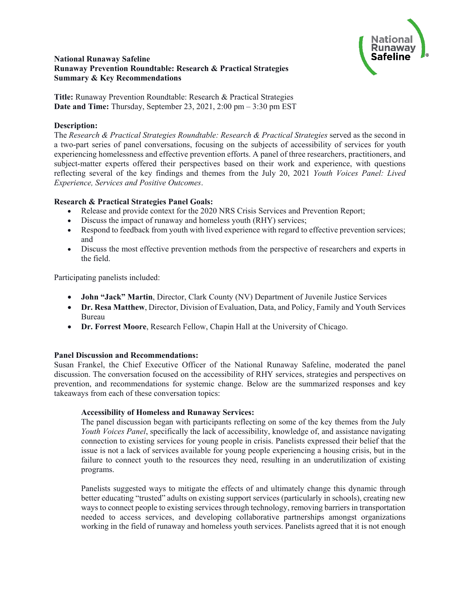

### **National Runaway Safeline Runaway Prevention Roundtable: Research & Practical Strategies Summary & Key Recommendations**

**Title:** Runaway Prevention Roundtable: Research & Practical Strategies **Date and Time:** Thursday, September 23, 2021, 2:00 pm – 3:30 pm EST

### **Description:**

The *Research & Practical Strategies Roundtable: Research & Practical Strategies* served as the second in a two-part series of panel conversations, focusing on the subjects of accessibility of services for youth experiencing homelessness and effective prevention efforts. A panel of three researchers, practitioners, and subject-matter experts offered their perspectives based on their work and experience, with questions reflecting several of the key findings and themes from the July 20, 2021 *Youth Voices Panel: Lived Experience, Services and Positive Outcomes*.

# **Research & Practical Strategies Panel Goals:**

- Release and provide context for the 2020 NRS Crisis Services and Prevention Report;
- Discuss the impact of runaway and homeless youth (RHY) services;
- Respond to feedback from youth with lived experience with regard to effective prevention services; and
- Discuss the most effective prevention methods from the perspective of researchers and experts in the field.

Participating panelists included:

- **John "Jack" Martin**, Director, Clark County (NV) Department of Juvenile Justice Services
- **Dr. Resa Matthew**, Director, Division of Evaluation, Data, and Policy, Family and Youth Services Bureau
- **Dr. Forrest Moore**, Research Fellow, Chapin Hall at the University of Chicago.

# **Panel Discussion and Recommendations:**

Susan Frankel, the Chief Executive Officer of the National Runaway Safeline, moderated the panel discussion. The conversation focused on the accessibility of RHY services, strategies and perspectives on prevention, and recommendations for systemic change. Below are the summarized responses and key takeaways from each of these conversation topics:

# **Accessibility of Homeless and Runaway Services:**

The panel discussion began with participants reflecting on some of the key themes from the July *Youth Voices Panel*, specifically the lack of accessibility, knowledge of, and assistance navigating connection to existing services for young people in crisis. Panelists expressed their belief that the issue is not a lack of services available for young people experiencing a housing crisis, but in the failure to connect youth to the resources they need, resulting in an underutilization of existing programs.

Panelists suggested ways to mitigate the effects of and ultimately change this dynamic through better educating "trusted" adults on existing support services (particularly in schools), creating new ways to connect people to existing services through technology, removing barriers in transportation needed to access services, and developing collaborative partnerships amongst organizations working in the field of runaway and homeless youth services. Panelists agreed that it is not enough